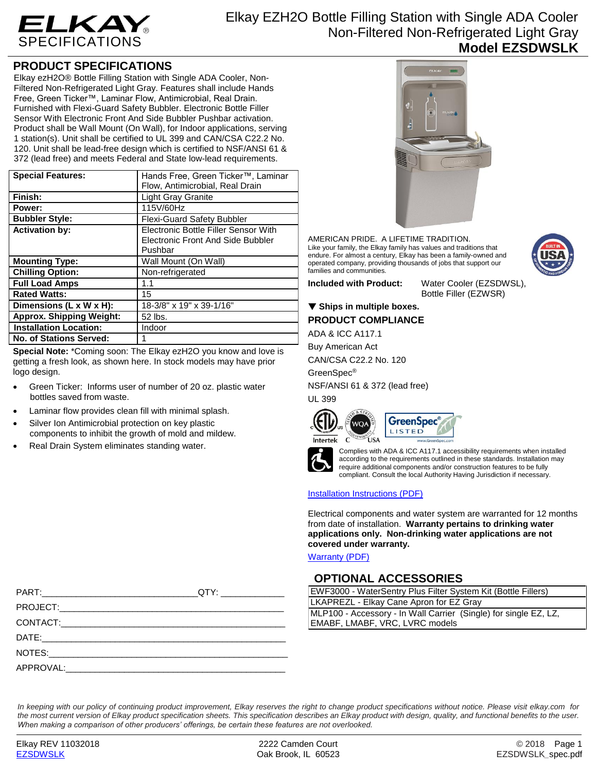

# **PRODUCT SPECIFICATIONS**

Elkay ezH2O® Bottle Filling Station with Single ADA Cooler, Non-Filtered Non-Refrigerated Light Gray. Features shall include Hands Free, Green Ticker™, Laminar Flow, Antimicrobial, Real Drain. Furnished with Flexi-Guard Safety Bubbler. Electronic Bottle Filler Sensor With Electronic Front And Side Bubbler Pushbar activation. Product shall be Wall Mount (On Wall), for Indoor applications, serving 1 station(s). Unit shall be certified to UL 399 and CAN/CSA C22.2 No. 120. Unit shall be lead-free design which is certified to NSF/ANSI 61 & 372 (lead free) and meets Federal and State low-lead requirements.

| <b>Special Features:</b>        | Hands Free, Green Ticker™, Laminar       |
|---------------------------------|------------------------------------------|
|                                 | Flow, Antimicrobial, Real Drain          |
| Finish:                         | <b>Light Gray Granite</b>                |
| Power:                          | 115V/60Hz                                |
| <b>Bubbler Style:</b>           | <b>Flexi-Guard Safety Bubbler</b>        |
| <b>Activation by:</b>           | Electronic Bottle Filler Sensor With     |
|                                 | <b>Electronic Front And Side Bubbler</b> |
|                                 | Pushbar                                  |
| <b>Mounting Type:</b>           | Wall Mount (On Wall)                     |
| <b>Chilling Option:</b>         | Non-refrigerated                         |
| <b>Full Load Amps</b>           | 1.1                                      |
| <b>Rated Watts:</b>             | 15                                       |
| Dimensions (L x W x H):         | 18-3/8" x 19" x 39-1/16"                 |
| <b>Approx. Shipping Weight:</b> | 52 lbs.                                  |
| <b>Installation Location:</b>   | Indoor                                   |
| No. of Stations Served:         |                                          |

**Special Note:** \*Coming soon: The Elkay ezH2O you know and love is getting a fresh look, as shown here. In stock models may have prior logo design.

- Green Ticker: Informs user of number of 20 oz. plastic water bottles saved from waste.
- Laminar flow provides clean fill with minimal splash.
- Silver Ion Antimicrobial protection on key plastic components to inhibit the growth of mold and mildew.
- Real Drain System eliminates standing water.



AMERICAN PRIDE. A LIFETIME TRADITION. Like your family, the Elkay family has values and traditions that endure. For almost a century, Elkay has been a family-owned and operated company, providing thousands of jobs that support our families and communities.

**Included with Product:** Water Cooler (EZSDWSL),

Bottle Filler (EZWSR)

## ▼ Ships in multiple boxes.

**PRODUCT COMPLIANCE**

ADA & ICC A117.1

Buy American Act

CAN/CSA C22.2 No. 120

GreenSpec®

NSF/ANSI 61 & 372 (lead free)

UL 399







Complies with ADA & ICC A117.1 accessibility requirements when installed according to the requirements outlined in these standards. Installation may require additional components and/or construction features to be fully compliant. Consult the local Authority Having Jurisdiction if necessary.

### [Installation Instructions \(PDF\)](http://www.elkay.com/wcsstore/lkdocs/care-cleaning-install-warranty-sheets/1000002207.pdf)

Electrical components and water system are warranted for 12 months from date of installation. **Warranty pertains to drinking water applications only. Non-drinking water applications are not covered under warranty.**

[Warranty](http://www.elkay.com/wcsstore/lkdocs/care-cleaning-install-warranty-sheets/96993c.pdf) (PDF)

## **OPTIONAL ACCESSORIES**

| EWF3000 - WaterSentry Plus Filter System Kit (Bottle Fillers)                                      |  |  |
|----------------------------------------------------------------------------------------------------|--|--|
| LKAPREZL - Elkay Cane Apron for EZ Gray                                                            |  |  |
| MLP100 - Accessory - In Wall Carrier (Single) for single EZ, LZ,<br>EMABF, LMABF, VRC, LVRC models |  |  |
|                                                                                                    |  |  |

*In keeping with our policy of continuing product improvement, Elkay reserves the right to change product specifications without notice. Please visit elkay.com for the most current version of Elkay product specification sheets. This specification describes an Elkay product with design, quality, and functional benefits to the user. When making a comparison of other producers' offerings, be certain these features are not overlooked.*